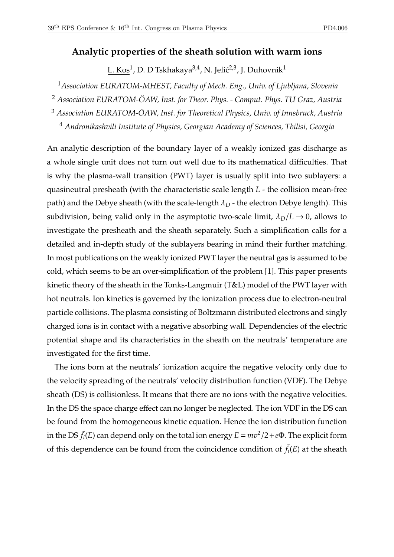## **Analytic properties of the sheath solution with warm ions**

L. Kos $^1$ , D. D Tskhakaya $^{3,4}$ , N. Jelić $^{2,3}$ , J. Duhovnik $^1$ 

<sup>1</sup>*Association EURATOM-MHEST, Faculty of Mech. Eng., Univ. of Ljubljana, Slovenia*

<sup>2</sup> *Association EURATOM-ÖAW, Inst. for Theor. Phys. - Comput. Phys. TU Graz, Austria*

<sup>3</sup> *Association EURATOM-ÖAW, Inst. for Theoretical Physics, Univ. of Innsbruck, Austria*

<sup>4</sup> *Andronikashvili Institute of Physics, Georgian Academy of Sciences, Tbilisi, Georgia*

An analytic description of the boundary layer of a weakly ionized gas discharge as a whole single unit does not turn out well due to its mathematical difficulties. That is why the plasma-wall transition (PWT) layer is usually split into two sublayers: a quasineutral presheath (with the characteristic scale length *L* - the collision mean-free path) and the Debye sheath (with the scale-length  $\lambda_D$  - the electron Debye length). This subdivision, being valid only in the asymptotic two-scale limit,  $\lambda_D/L \rightarrow 0$ , allows to investigate the presheath and the sheath separately. Such a simplification calls for a detailed and in-depth study of the sublayers bearing in mind their further matching. In most publications on the weakly ionized PWT layer the neutral gas is assumed to be cold, which seems to be an over-simplification of the problem [1]. This paper presents kinetic theory of the sheath in the Tonks-Langmuir (T&L) model of the PWT layer with hot neutrals. Ion kinetics is governed by the ionization process due to electron-neutral particle collisions. The plasma consisting of Boltzmann distributed electrons and singly charged ions is in contact with a negative absorbing wall. Dependencies of the electric potential shape and its characteristics in the sheath on the neutrals' temperature are investigated for the first time.

The ions born at the neutrals' ionization acquire the negative velocity only due to the velocity spreading of the neutrals' velocity distribution function (VDF). The Debye sheath (DS) is collisionless. It means that there are no ions with the negative velocities. In the DS the space charge effect can no longer be neglected. The ion VDF in the DS can be found from the homogeneous kinetic equation. Hence the ion distribution function in the DS  $\bar{f}_i(E)$  can depend only on the total ion energy  $E = mv^2/2 + e\Phi$ . The explicit form of this dependence can be found from the coincidence condition of  $\bar{f}_i(E)$  at the sheath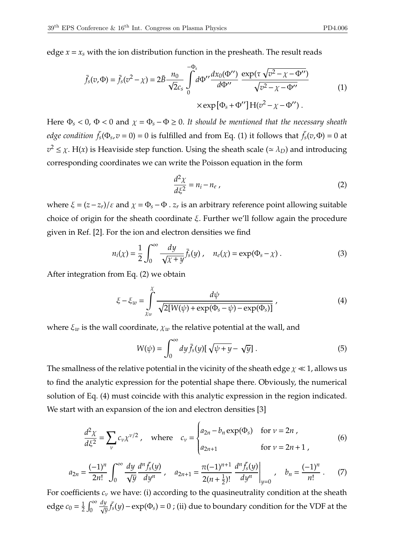edge  $x = x_s$  with the ion distribution function in the presheath. The result reads

$$
\bar{f}_s(v,\Phi) = \bar{f}_s(v^2 - \chi) = 2\bar{B} \frac{n_0}{\sqrt{2}c_s} \int_0^{-\Phi_s} d\Phi'' \frac{dx_0(\Phi'')}{d\Phi''} \frac{\exp(\tau \sqrt{v^2 - \chi - \Phi'')}}{\sqrt{v^2 - \chi - \Phi''}} \qquad (1)
$$
\n
$$
\times \exp[\Phi_s + \Phi''] H(v^2 - \chi - \Phi'').
$$

Here  $\Phi_s < 0$ ,  $\Phi < 0$  and  $\chi = \Phi_s - \Phi \ge 0$ . It should be mentioned that the necessary sheath *edge condition*  $\bar{f}_s(\Phi_s, v=0) = 0$  is fulfilled and from Eq. (1) it follows that  $\bar{f}_s(v, \Phi) = 0$  at  $v^2 \leq \chi$ . H(*x*) is Heaviside step function. Using the sheath scale ( $\simeq \lambda_D$ ) and introducing corresponding coordinates we can write the Poisson equation in the form

$$
\frac{d^2\chi}{d\xi^2} = n_i - n_e \,,\tag{2}
$$

where  $\xi = (z - z_r)/\varepsilon$  and  $\chi = \Phi_s - \Phi \cdot z_r$  is an arbitrary reference point allowing suitable choice of origin for the sheath coordinate ξ. Further we'll follow again the procedure given in Ref. [2]. For the ion and electron densities we find

$$
n_i(\chi) = \frac{1}{2} \int_0^\infty \frac{dy}{\sqrt{\chi + y}} \bar{f}_s(y) , \quad n_e(\chi) = \exp(\Phi_s - \chi) . \tag{3}
$$

After integration from Eq. (2) we obtain

$$
\xi - \xi_w = \int_{\chi_w}^{\chi} \frac{d\psi}{\sqrt{2[W(\psi) + \exp(\Phi_s - \psi) - \exp(\Phi_s)]}} \,, \tag{4}
$$

where  $\xi_w$  is the wall coordinate,  $\chi_w$  the relative potential at the wall, and

$$
W(\psi) = \int_0^\infty dy \,\bar{f}_s(y) [\sqrt{\psi + y} - \sqrt{y}].\tag{5}
$$

The smallness of the relative potential in the vicinity of the sheath edge  $\chi \ll 1$ , allows us to find the analytic expression for the potential shape there. Obviously, the numerical solution of Eq. (4) must coincide with this analytic expression in the region indicated. We start with an expansion of the ion and electron densities [3]

$$
\frac{d^2\chi}{d\xi^2} = \sum_{\nu} c_{\nu} \chi^{\nu/2} , \quad \text{where} \quad c_{\nu} = \begin{cases} a_{2n} - b_n \exp(\Phi_s) & \text{for } \nu = 2n ,\\ a_{2n+1} & \text{for } \nu = 2n+1 , \end{cases} \tag{6}
$$

$$
a_{2n} = \frac{(-1)^n}{2n!} \int_0^\infty \frac{dy}{\sqrt{y}} \frac{d^n \bar{f}_s(y)}{dy^n} , \quad a_{2n+1} = \frac{\pi (-1)^{n+1}}{2(n+\frac{1}{2})!} \frac{d^n \bar{f}_s(y)}{dy^n} \bigg|_{y=0} , \quad b_n = \frac{(-1)^n}{n!} . \tag{7}
$$

For coefficients  $c_v$  we have: (i) according to the quasineutrality condition at the sheath edge  $c_0 = \frac{1}{2}$  $rac{1}{2} \int_0^\infty$  $\overline{0}$ *dy*  $\frac{dy}{\sqrt{y}}$   $\bar{f}_s(y)$  − exp(Φ<sub>*s*</sub>) = 0 ; (ii) due to boundary condition for the VDF at the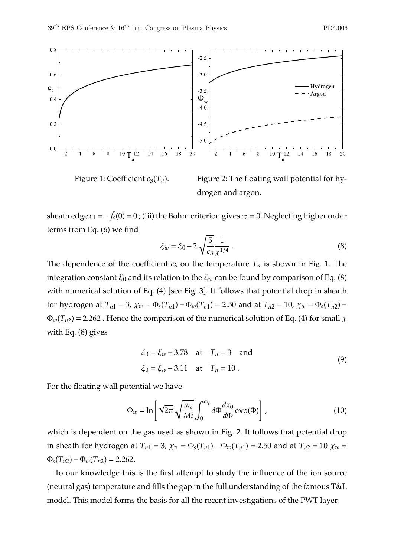

Figure 1: Coefficient  $c_3(T_n)$ .

Figure 2: The floating wall potential for hydrogen and argon.

sheath edge  $c_1 = -\bar{f}_s(0) = 0$ ; (iii) the Bohm criterion gives  $c_2 = 0$ . Neglecting higher order terms from Eq. (6) we find

$$
\xi_{io} = \xi_0 - 2\sqrt{\frac{5}{c_3}} \frac{1}{\chi^{1/4}}.
$$
\n(8)

The dependence of the coefficient  $c_3$  on the temperature  $T_n$  is shown in Fig. 1. The integration constant  $\xi_0$  and its relation to the  $\xi_w$  can be found by comparison of Eq. (8) with numerical solution of Eq. (4) [see Fig. 3]. It follows that potential drop in sheath for hydrogen at  $T_{n1} = 3$ ,  $\chi_w = \Phi_s(T_{n1}) - \Phi_w(T_{n1}) = 2.50$  and at  $T_{n2} = 10$ ,  $\chi_w = \Phi_s(T_{n2}) \Phi_w(T_{n2})$  = 2.262. Hence the comparison of the numerical solution of Eq. (4) for small  $\chi$ with Eq. (8) gives

$$
\xi_0 = \xi_w + 3.78
$$
 at  $T_n = 3$  and  
\n $\xi_0 = \xi_w + 3.11$  at  $T_n = 10$ . (9)

For the floating wall potential we have

$$
\Phi_w = \ln \left[ \sqrt{2\pi} \sqrt{\frac{m_e}{Mi}} \int_0^{\Phi_s} d\Phi \frac{dx_0}{d\Phi} \exp(\Phi) \right], \tag{10}
$$

which is dependent on the gas used as shown in Fig. 2. It follows that potential drop in sheath for hydrogen at  $T_{n1} = 3$ ,  $\chi_w = \Phi_s(T_{n1}) - \Phi_w(T_{n1}) = 2.50$  and at  $T_{n2} = 10$   $\chi_w =$  $\Phi_s(T_{n2}) - \Phi_w(T_{n2}) = 2.262$ .

To our knowledge this is the first attempt to study the influence of the ion source (neutral gas) temperature and fills the gap in the full understanding of the famous T&L model. This model forms the basis for all the recent investigations of the PWT layer.